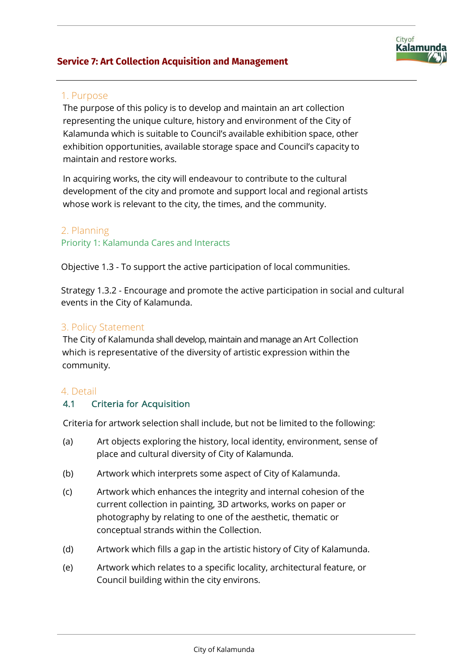## **Service 7: Art Collection Acquisition and Management**

# 1. Purpose

The purpose of this policy is to develop and maintain an art collection representing the unique culture, history and environment of the City of Kalamunda which is suitable to Council's available exhibition space, other exhibition opportunities, available storage space and Council's capacity to maintain and restore works.

City of

Kalamunda

In acquiring works, the city will endeavour to contribute to the cultural development of the city and promote and support local and regional artists whose work is relevant to the city, the times, and the community.

## 2. Planning

#### Priority 1: Kalamunda Cares and Interacts

Objective 1.3 - To support the active participation of local communities.

Strategy 1.3.2 - Encourage and promote the active participation in social and cultural events in the City of Kalamunda.

## 3. Policy Statement

The City of Kalamunda shall develop, maintain and manage an Art Collection which is representative of the diversity of artistic expression within the community.

#### 4. Detail

## 4.1 Criteria for Acquisition

Criteria for artwork selection shall include, but not be limited to the following:

- (a) Art objects exploring the history, local identity, environment, sense of place and cultural diversity of City of Kalamunda.
- (b) Artwork which interprets some aspect of City of Kalamunda.
- (c) Artwork which enhances the integrity and internal cohesion of the current collection in painting, 3D artworks, works on paper or photography by relating to one of the aesthetic, thematic or conceptual strands within the Collection.
- (d) Artwork which fills a gap in the artistic history of City of Kalamunda.
- (e) Artwork which relates to a specific locality, architectural feature, or Council building within the city environs.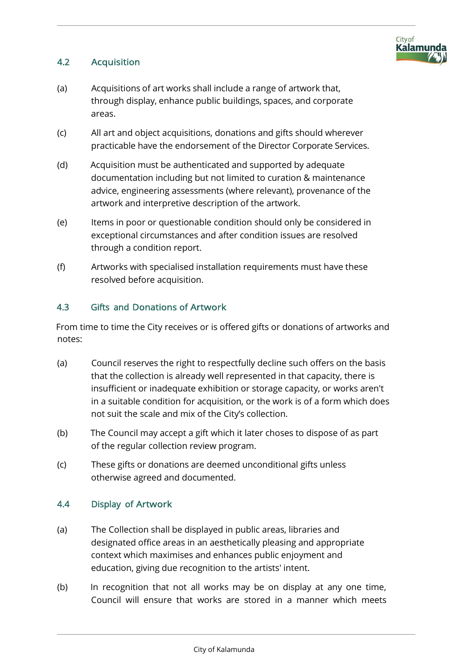

## 4.2 Acquisition

- (a) Acquisitions of art works shall include a range of artwork that, through display, enhance public buildings, spaces, and corporate areas.
- (c) All art and object acquisitions, donations and gifts should wherever practicable have the endorsement of the Director Corporate Services.
- (d) Acquisition must be authenticated and supported by adequate documentation including but not limited to curation & maintenance advice, engineering assessments (where relevant), provenance of the artwork and interpretive description of the artwork.
- (e) Items in poor or questionable condition should only be considered in exceptional circumstances and after condition issues are resolved through a condition report.
- (f) Artworks with specialised installation requirements must have these resolved before acquisition.

#### 4.3 Gifts and Donations of Artwork

From time to time the City receives or is offered gifts or donations of artworks and notes:

- (a) Council reserves the right to respectfully decline such offers on the basis that the collection is already well represented in that capacity, there is insufficient or inadequate exhibition or storage capacity, or works aren't in a suitable condition for acquisition, or the work is of a form which does not suit the scale and mix of the City's collection.
- (b) The Council may accept a gift which it later choses to dispose of as part of the regular collection review program.
- (c) These gifts or donations are deemed unconditional gifts unless otherwise agreed and documented.

#### 4.4 Display of Artwork

- (a) The Collection shall be displayed in public areas, libraries and designated office areas in an aesthetically pleasing and appropriate context which maximises and enhances public enjoyment and education, giving due recognition to the artists' intent.
- (b) In recognition that not all works may be on display at any one time, Council will ensure that works are stored in a manner which meets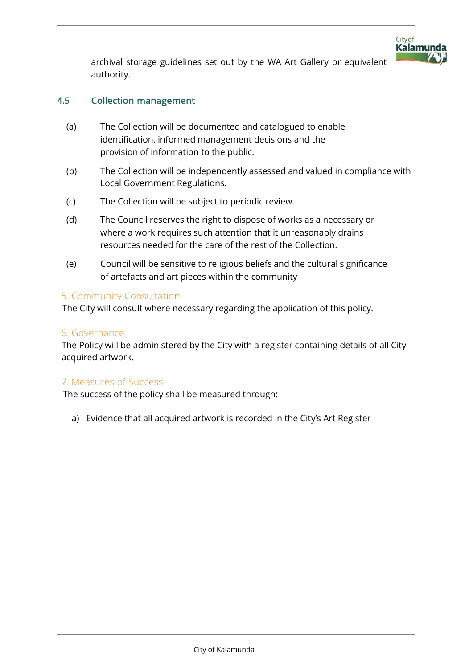

archival storage guidelines set out by the WA Art Gallery or equivalent authority.

## 4.5 Collection management

- (a) The Collection will be documented and catalogued to enable identification, informed management decisions and the provision of information to the public.
- (b) The Collection will be independently assessed and valued in compliance with Local Government Regulations.
- (c) The Collection will be subject to periodic review.
- (d) The Council reserves the right to dispose of works as a necessary or where a work requires such attention that it unreasonably drains resources needed for the care of the rest of the Collection.
- (e) Council will be sensitive to religious beliefs and the cultural significance of artefacts and art pieces within the community

## 5. Community Consultation

The City will consult where necessary regarding the application of this policy.

#### 6. Governance

The Policy will be administered by the City with a register containing details of all City acquired artwork.

## 7. Measures of Success

The success of the policy shall be measured through:

a) Evidence that all acquired artwork is recorded in the City's Art Register